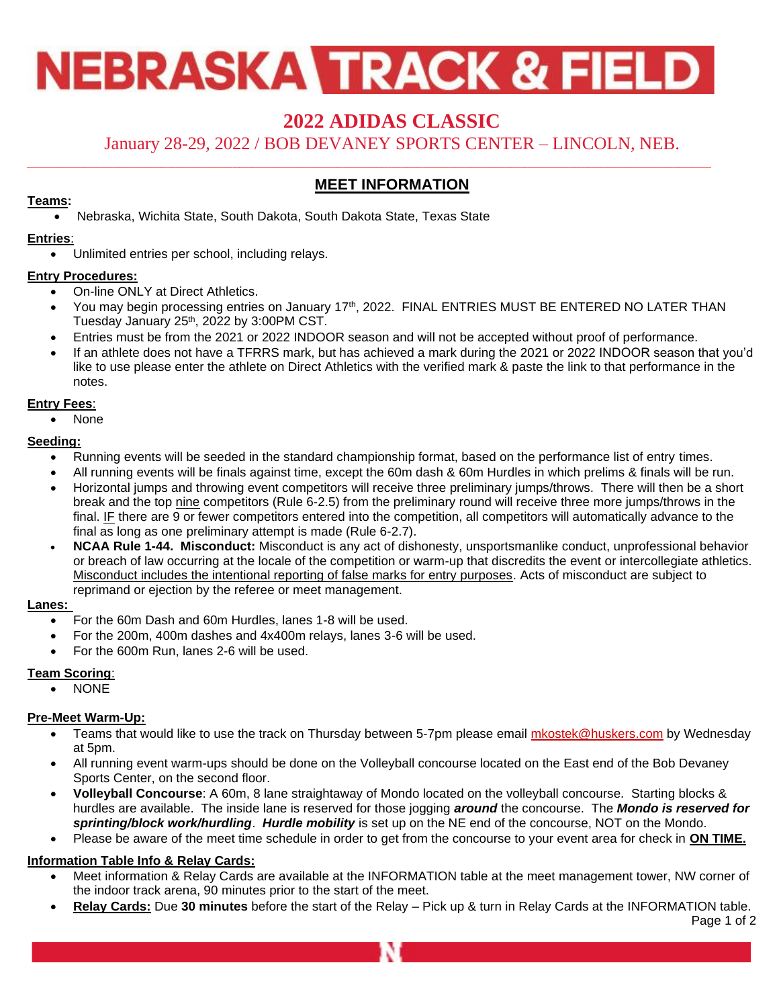# **NEBRASKA TRACK & FIELD**

## **2022 ADIDAS CLASSIC**

January 28-29, 2022 / BOB DEVANEY SPORTS CENTER – LINCOLN, NEB.

### **MEET INFORMATION**

#### **Teams:**

• Nebraska, Wichita State, South Dakota, South Dakota State, Texas State

#### **Entries**:

• Unlimited entries per school, including relays.

#### **Entry Procedures:**

- On-line ONLY at Direct Athletics.
- You may begin processing entries on January 17<sup>th</sup>, 2022. FINAL ENTRIES MUST BE ENTERED NO LATER THAN Tuesday January 25<sup>th</sup>, 2022 by 3:00PM CST.
- Entries must be from the 2021 or 2022 INDOOR season and will not be accepted without proof of performance.
- If an athlete does not have a TFRRS mark, but has achieved a mark during the 2021 or 2022 INDOOR season that you'd like to use please enter the athlete on Direct Athletics with the verified mark & paste the link to that performance in the notes.

#### **Entry Fees**:

• None

#### **Seeding:**

- Running events will be seeded in the standard championship format, based on the performance list of entry times.
- All running events will be finals against time, except the 60m dash & 60m Hurdles in which prelims & finals will be run.
- Horizontal jumps and throwing event competitors will receive three preliminary jumps/throws. There will then be a short break and the top nine competitors (Rule 6-2.5) from the preliminary round will receive three more jumps/throws in the final. IF there are 9 or fewer competitors entered into the competition, all competitors will automatically advance to the final as long as one preliminary attempt is made (Rule 6-2.7).
- **NCAA Rule 1-44. Misconduct:** Misconduct is any act of dishonesty, unsportsmanlike conduct, unprofessional behavior or breach of law occurring at the locale of the competition or warm-up that discredits the event or intercollegiate athletics. Misconduct includes the intentional reporting of false marks for entry purposes. Acts of misconduct are subject to reprimand or ejection by the referee or meet management.

#### **Lanes:**

- For the 60m Dash and 60m Hurdles, lanes 1-8 will be used.
- For the 200m, 400m dashes and 4x400m relays, lanes 3-6 will be used.
- For the 600m Run, lanes 2-6 will be used.

#### **Team Scoring**:

• NONE

#### **Pre-Meet Warm-Up:**

- Teams that would like to use the track on Thursday between 5-7pm please email [mkostek@huskers.com](mailto:mkostek@huskers.com) by Wednesday at 5pm.
- All running event warm-ups should be done on the Volleyball concourse located on the East end of the Bob Devaney Sports Center, on the second floor.
- **Volleyball Concourse**: A 60m, 8 lane straightaway of Mondo located on the volleyball concourse. Starting blocks & hurdles are available. The inside lane is reserved for those jogging *around* the concourse. The *Mondo is reserved for sprinting/block work/hurdling*. *Hurdle mobility* is set up on the NE end of the concourse, NOT on the Mondo.
- Please be aware of the meet time schedule in order to get from the concourse to your event area for check in **ON TIME.**

#### **Information Table Info & Relay Cards:**

- Meet information & Relay Cards are available at the INFORMATION table at the meet management tower, NW corner of the indoor track arena, 90 minutes prior to the start of the meet.
- **Relay Cards:** Due **30 minutes** before the start of the Relay Pick up & turn in Relay Cards at the INFORMATION table. Page 1 of 2